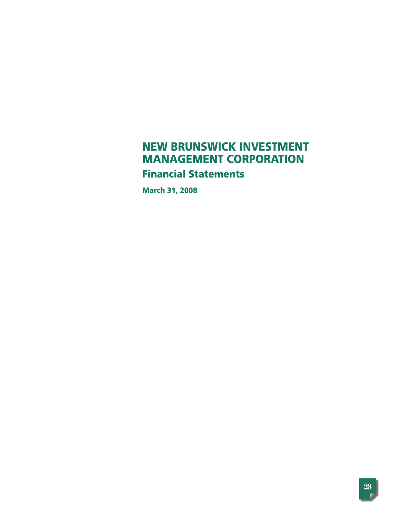# **NEW BRUNSWICK INVESTMENT MANAGEMENT CORPORATION Financial Statements**

**March 31, 2008**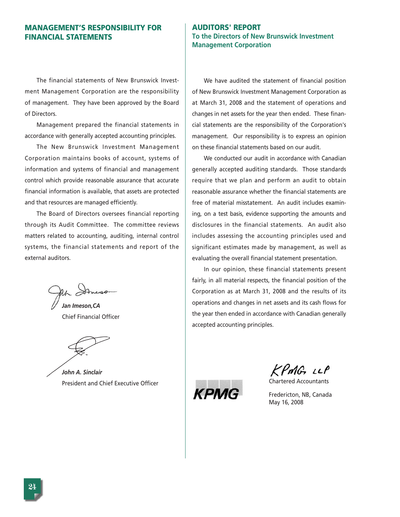## **MANAGEMENT'S RESPONSIBILITY FOR FINANCIAL STATEMENTS**

The financial statements of New Brunswick Investment Management Corporation are the responsibility of management. They have been approved by the Board of Directors.

Management prepared the financial statements in accordance with generally accepted accounting principles.

The New Brunswick Investment Management Corporation maintains books of account, systems of information and systems of financial and management control which provide reasonable assurance that accurate financial information is available, that assets are protected and that resources are managed efficiently.

The Board of Directors oversees financial reporting through its Audit Committee. The committee reviews matters related to accounting, auditing, internal control systems, the financial statements and report of the external auditors.

*Jan Imeson,CA* Chief Financial Officer

*John A. Sinclair* President and Chief Executive Officer

## **AUDITORS' REPORT To the Directors of New Brunswick Investment Management Corporation**

We have audited the statement of financial position of New Brunswick Investment Management Corporation as at March 31, 2008 and the statement of operations and changes in net assets for the year then ended. These financial statements are the responsibility of the Corporation's management. Our responsibility is to express an opinion on these financial statements based on our audit.

We conducted our audit in accordance with Canadian generally accepted auditing standards. Those standards require that we plan and perform an audit to obtain reasonable assurance whether the financial statements are free of material misstatement. An audit includes examining, on a test basis, evidence supporting the amounts and disclosures in the financial statements. An audit also includes assessing the accounting principles used and significant estimates made by management, as well as evaluating the overall financial statement presentation.

In our opinion, these financial statements present fairly, in all material respects, the financial position of the Corporation as at March 31, 2008 and the results of its operations and changes in net assets and its cash flows for the year then ended in accordance with Canadian generally accepted accounting principles.

KPMG LLP

Chartered Accountants



Fredericton, NB, Canada May 16, 2008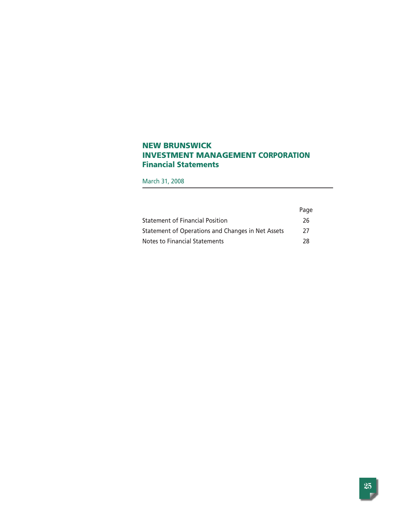## **NEW BRUNSWICK INVESTMENT MANAGEMENT CORPORATION Financial Statements**

March 31, 2008

|                                                   | Page |
|---------------------------------------------------|------|
| <b>Statement of Financial Position</b>            | 26   |
| Statement of Operations and Changes in Net Assets | 27   |
| Notes to Financial Statements                     | 78   |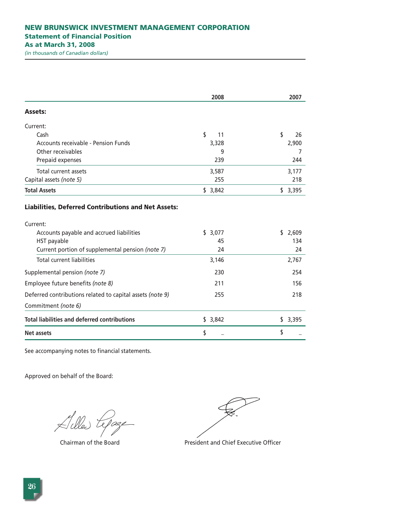|                                                                                                                                                                                       | 2008                | 2007                 |
|---------------------------------------------------------------------------------------------------------------------------------------------------------------------------------------|---------------------|----------------------|
| <b>Assets:</b>                                                                                                                                                                        |                     |                      |
| Current:                                                                                                                                                                              |                     |                      |
| Cash                                                                                                                                                                                  | \$<br>11            | \$<br>26             |
| Accounts receivable - Pension Funds                                                                                                                                                   | 3,328               | 2,900                |
| Other receivables                                                                                                                                                                     | 9                   | 7                    |
| Prepaid expenses                                                                                                                                                                      | 239                 | 244                  |
| Total current assets                                                                                                                                                                  | 3,587               | 3,177                |
| Capital assets (note 5)                                                                                                                                                               | 255                 | 218                  |
| <b>Total Assets</b>                                                                                                                                                                   | \$3,842             | \$3,395              |
| <b>Liabilities, Deferred Contributions and Net Assets:</b><br>Current:<br>Accounts payable and accrued liabilities<br>HST payable<br>Current portion of supplemental pension (note 7) | \$3,077<br>45<br>24 | \$2,609<br>134<br>24 |
| <b>Total current liabilities</b>                                                                                                                                                      | 3,146               | 2,767                |
| Supplemental pension (note 7)                                                                                                                                                         | 230                 | 254                  |
| Employee future benefits (note 8)                                                                                                                                                     | 211                 | 156                  |
| Deferred contributions related to capital assets (note 9)                                                                                                                             | 255                 | 218                  |
| Commitment (note 6)                                                                                                                                                                   |                     |                      |
| <b>Total liabilities and deferred contributions</b>                                                                                                                                   | \$3,842             | \$3,395              |
| Net assets                                                                                                                                                                            | \$                  | \$                   |

See accompanying notes to financial statements.

Alles Lepage

Chairman of the Board **President and Chief Executive Officer**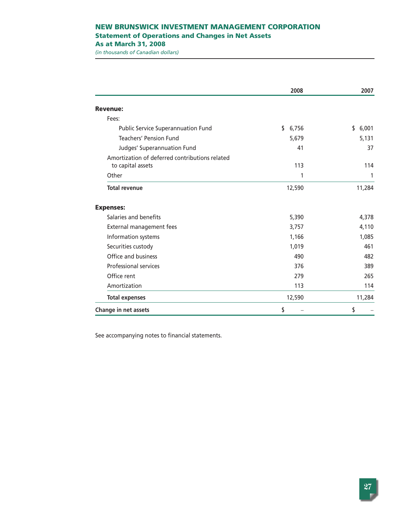## **NEW BRUNSWICK INVESTMENT MANAGEMENT CORPORATION Statement of Operations and Changes in Net Assets**

**As at March 31, 2008**

*(in thousands of Canadian dollars)*

|                                                | 2008        | 2007        |
|------------------------------------------------|-------------|-------------|
| <b>Revenue:</b>                                |             |             |
| Fees:                                          |             |             |
| <b>Public Service Superannuation Fund</b>      | \$<br>6,756 | \$<br>6,001 |
| <b>Teachers' Pension Fund</b>                  | 5,679       | 5,131       |
| Judges' Superannuation Fund                    | 41          | 37          |
| Amortization of deferred contributions related |             |             |
| to capital assets                              | 113         | 114         |
| Other                                          | 1           | 1           |
| <b>Total revenue</b>                           | 12,590      | 11,284      |
| <b>Expenses:</b>                               |             |             |
| Salaries and benefits                          | 5,390       | 4,378       |
| External management fees                       | 3,757       | 4,110       |
| Information systems                            | 1,166       | 1,085       |
| Securities custody                             | 1,019       | 461         |
| Office and business                            | 490         | 482         |
| <b>Professional services</b>                   | 376         | 389         |
| Office rent                                    | 279         | 265         |
| Amortization                                   | 113         | 114         |
| <b>Total expenses</b>                          | 12,590      | 11,284      |
| Change in net assets                           | \$          | \$          |

See accompanying notes to financial statements.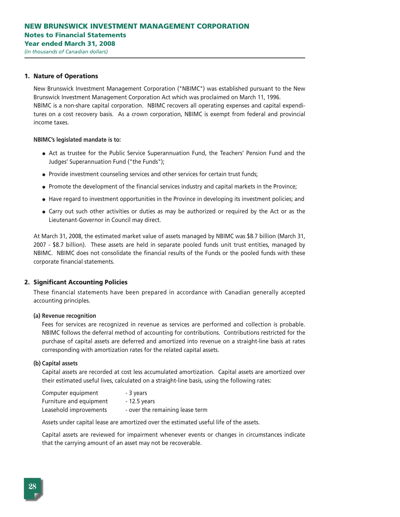#### **1. Nature of Operations**

New Brunswick Investment Management Corporation ("NBIMC") was established pursuant to the New Brunswick Investment Management Corporation Act which was proclaimed on March 11, 1996. NBIMC is a non-share capital corporation. NBIMC recovers all operating expenses and capital expenditures on a cost recovery basis. As a crown corporation, NBIMC is exempt from federal and provincial income taxes.

#### **NBIMC's legislated mandate is to:**

- Act as trustee for the Public Service Superannuation Fund, the Teachers' Pension Fund and the Judges' Superannuation Fund ("the Funds");
- Provide investment counseling services and other services for certain trust funds;
- Promote the development of the financial services industry and capital markets in the Province;
- Have regard to investment opportunities in the Province in developing its investment policies; and
- Carry out such other activities or duties as may be authorized or required by the Act or as the Lieutenant-Governor in Council may direct.

At March 31, 2008, the estimated market value of assets managed by NBIMC was \$8.7 billion (March 31, 2007 - \$8.7 billion). These assets are held in separate pooled funds unit trust entities, managed by NBIMC. NBIMC does not consolidate the financial results of the Funds or the pooled funds with these corporate financial statements.

#### **2. Significant Accounting Policies**

These financial statements have been prepared in accordance with Canadian generally accepted accounting principles.

#### **(a) Revenue recognition**

Fees for services are recognized in revenue as services are performed and collection is probable. NBIMC follows the deferral method of accounting for contributions. Contributions restricted for the purchase of capital assets are deferred and amortized into revenue on a straight-line basis at rates corresponding with amortization rates for the related capital assets.

#### **(b) Capital assets**

Capital assets are recorded at cost less accumulated amortization. Capital assets are amortized over their estimated useful lives, calculated on a straight-line basis, using the following rates:

| Computer equipment      | - 3 years                       |
|-------------------------|---------------------------------|
| Furniture and equipment | - 12.5 years                    |
| Leasehold improvements  | - over the remaining lease term |

Assets under capital lease are amortized over the estimated useful life of the assets.

Capital assets are reviewed for impairment whenever events or changes in circumstances indicate that the carrying amount of an asset may not be recoverable.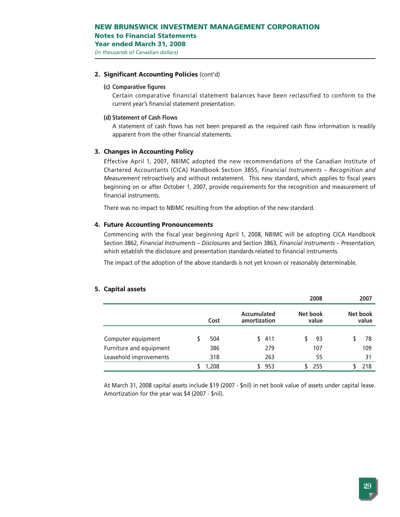**Notes to Financial Statements**

**Year ended March 31, 2008**

*(in thousands of Canadian dollars)*

## **2. Significant Accounting Policies** (cont'd)

## **(c) Comparative figures**

Certain comparative financial statement balances have been reclassified to conform to the current year's financial statement presentation.

## **(d) Statement of Cash Flows**

A statement of cash flows has not been prepared as the required cash flow information is readily apparent from the other financial statements.

## **3. Changes in Accounting Policy**

Effective April 1, 2007, NBIMC adopted the new recommendations of the Canadian Institute of Chartered Accountants (CICA) Handbook Section 3855, *Financial Instruments – Recognition and Measurement* retroactively and without restatement. This new standard, which applies to fiscal years beginning on or after October 1, 2007, provide requirements for the recognition and measurement of financial instruments.

There was no impact to NBIMC resulting from the adoption of the new standard.

## **4. Future Accounting Pronouncements**

Commencing with the fiscal year beginning April 1, 2008, NBIMC will be adopting CICA Handbook Section 3862, *Financial Instruments – Disclosures* and Section 3863, *Financial Instruments – Presentation*, which establish the disclosure and presentation standards related to financial instruments.

The impact of the adoption of the above standards is not yet known or reasonably determinable.

|                         |       |                             |     | 2008              | 2007              |
|-------------------------|-------|-----------------------------|-----|-------------------|-------------------|
|                         | Cost  | Accumulated<br>amortization |     | Net book<br>value | Net book<br>value |
| Computer equipment      | 504   | S.                          | 411 | 93                | 78                |
| Furniture and equipment | 386   |                             | 279 | 107               | 109               |
| Leasehold improvements  | 318   |                             | 263 | 55                | 31                |
|                         | 1,208 |                             | 953 | 255               | 218               |

## **5. Capital assets**

At March 31, 2008 capital assets include \$19 (2007 - \$nil) in net book value of assets under capital lease. Amortization for the year was \$4 (2007 - \$nil).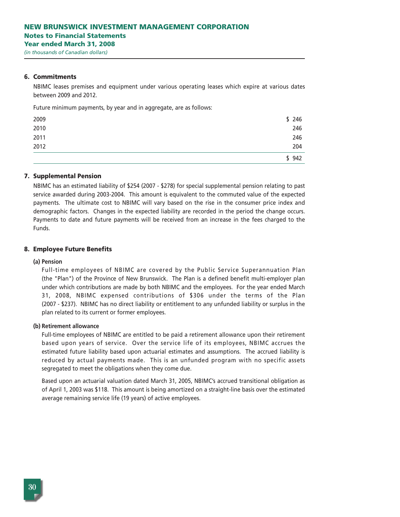#### **6. Commitments**

NBIMC leases premises and equipment under various operating leases which expire at various dates between 2009 and 2012.

Future minimum payments, by year and in aggregate, are as follows:

| 2009 | \$246 |
|------|-------|
| 2010 | 246   |
| 2011 | 246   |
| 2012 | 204   |
|      | 942   |

## **7. Supplemental Pension**

NBIMC has an estimated liability of \$254 (2007 - \$278) for special supplemental pension relating to past service awarded during 2003-2004. This amount is equivalent to the commuted value of the expected payments. The ultimate cost to NBIMC will vary based on the rise in the consumer price index and demographic factors. Changes in the expected liability are recorded in the period the change occurs. Payments to date and future payments will be received from an increase in the fees charged to the Funds.

#### **8. Employee Future Benefits**

#### **(a) Pension**

Full-time employees of NBIMC are covered by the Public Service Superannuation Plan (the "Plan") of the Province of New Brunswick. The Plan is a defined benefit multi-employer plan under which contributions are made by both NBIMC and the employees. For the year ended March 31, 2008, NBIMC expensed contributions of \$306 under the terms of the Plan (2007 - \$237). NBIMC has no direct liability or entitlement to any unfunded liability or surplus in the plan related to its current or former employees.

#### **(b) Retirement allowance**

Full-time employees of NBIMC are entitled to be paid a retirement allowance upon their retirement based upon years of service. Over the service life of its employees, NBIMC accrues the estimated future liability based upon actuarial estimates and assumptions. The accrued liability is reduced by actual payments made. This is an unfunded program with no specific assets segregated to meet the obligations when they come due.

Based upon an actuarial valuation dated March 31, 2005, NBIMC's accrued transitional obligation as of April 1, 2003 was \$118. This amount is being amortized on a straight-line basis over the estimated average remaining service life (19 years) of active employees.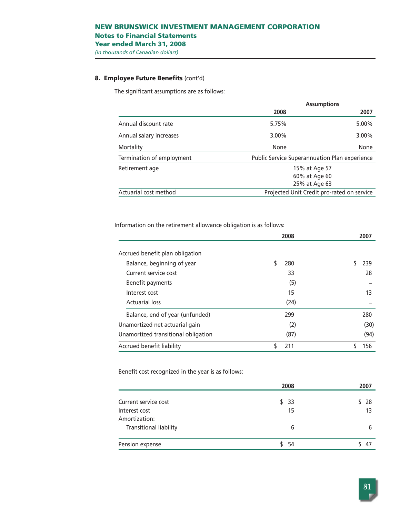## **8. Employee Future Benefits** (cont'd)

The significant assumptions are as follows:

|                           | <b>Assumptions</b>                                   |          |  |
|---------------------------|------------------------------------------------------|----------|--|
|                           | 2008                                                 | 2007     |  |
| Annual discount rate      | 5.75%                                                | 5.00%    |  |
| Annual salary increases   | $3.00\%$                                             | $3.00\%$ |  |
| Mortality                 | None                                                 | None     |  |
| Termination of employment | <b>Public Service Superannuation Plan experience</b> |          |  |
| Retirement age            | 15% at Age 57                                        |          |  |
|                           | 60% at Age 60                                        |          |  |
|                           | 25% at Age 63                                        |          |  |
| Actuarial cost method     | Projected Unit Credit pro-rated on service           |          |  |

Information on the retirement allowance obligation is as follows:

|                                     | 2008      | 2007 |
|-------------------------------------|-----------|------|
| Accrued benefit plan obligation     |           |      |
| Balance, beginning of year          | 280       | 239  |
| Current service cost                | 33        | 28   |
| Benefit payments                    | (5)       |      |
| Interest cost                       | 15        | 13   |
| <b>Actuarial loss</b>               | (24)      |      |
| Balance, end of year (unfunded)     | 299       | 280  |
| Unamortized net actuarial gain      | (2)       | (30) |
| Unamortized transitional obligation | (87)      | (94) |
| Accrued benefit liability           | 211<br>\$ | 156  |

Benefit cost recognized in the year is as follows:

|                                                | 2008       | 2007     |
|------------------------------------------------|------------|----------|
| Current service cost<br>Interest cost          | \$33<br>15 | 28<br>13 |
| Amortization:<br><b>Transitional liability</b> | 6          | 6        |
| Pension expense                                | \$54       | 47       |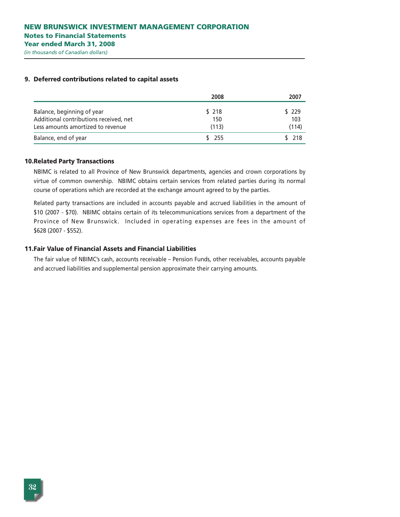|                                        | 2008  | 2007  |
|----------------------------------------|-------|-------|
| Balance, beginning of year             | \$218 | \$229 |
| Additional contributions received, net | 150   | 103   |
| Less amounts amortized to revenue      | (113) | (114) |
| Balance, end of year                   | \$255 | \$718 |

## **9. Deferred contributions related to capital assets**

#### **10.Related Party Transactions**

NBIMC is related to all Province of New Brunswick departments, agencies and crown corporations by virtue of common ownership. NBIMC obtains certain services from related parties during its normal course of operations which are recorded at the exchange amount agreed to by the parties.

Related party transactions are included in accounts payable and accrued liabilities in the amount of \$10 (2007 - \$70). NBIMC obtains certain of its telecommunications services from a department of the Province of New Brunswick. Included in operating expenses are fees in the amount of \$628 (2007 - \$552).

## **11.Fair Value of Financial Assets and Financial Liabilities**

The fair value of NBIMC's cash, accounts receivable – Pension Funds, other receivables, accounts payable and accrued liabilities and supplemental pension approximate their carrying amounts.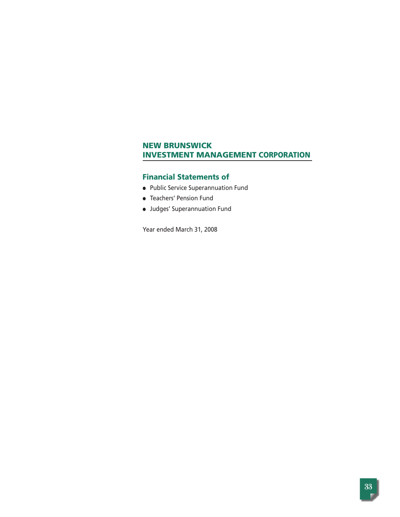## **Financial Statements of**

- Public Service Superannuation Fund
- Teachers' Pension Fund
- Judges' Superannuation Fund

Year ended March 31, 2008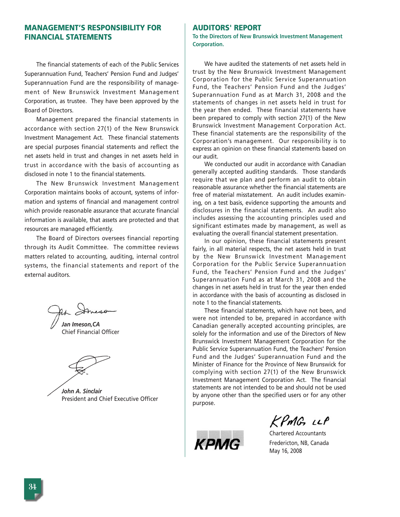## **MANAGEMENT'S RESPONSIBILITY FOR FINANCIAL STATEMENTS**

The financial statements of each of the Public Services Superannuation Fund, Teachers' Pension Fund and Judges' Superannuation Fund are the responsibility of management of New Brunswick Investment Management Corporation, as trustee. They have been approved by the Board of Directors.

Management prepared the financial statements in accordance with section 27(1) of the New Brunswick Investment Management Act. These financial statements are special purposes financial statements and reflect the net assets held in trust and changes in net assets held in trust in accordance with the basis of accounting as disclosed in note 1 to the financial statements.

The New Brunswick Investment Management Corporation maintains books of account, systems of information and systems of financial and management control which provide reasonable assurance that accurate financial information is available, that assets are protected and that resources are managed efficiently.

The Board of Directors oversees financial reporting through its Audit Committee. The committee reviews matters related to accounting, auditing, internal control systems, the financial statements and report of the external auditors.

Ah Domeson

*Jan Imeson,CA* Chief Financial Officer

*John A. Sinclair* President and Chief Executive Officer

## **AUDITORS' REPORT**

**To the Directors of New Brunswick Investment Management Corporation.** 

We have audited the statements of net assets held in trust by the New Brunswick Investment Management Corporation for the Public Service Superannuation Fund, the Teachers' Pension Fund and the Judges' Superannuation Fund as at March 31, 2008 and the statements of changes in net assets held in trust for the year then ended. These financial statements have been prepared to comply with section 27(1) of the New Brunswick Investment Management Corporation Act. These financial statements are the responsibility of the Corporation's management. Our responsibility is to express an opinion on these financial statements based on our audit.

We conducted our audit in accordance with Canadian generally accepted auditing standards. Those standards require that we plan and perform an audit to obtain reasonable assurance whether the financial statements are free of material misstatement. An audit includes examining, on a test basis, evidence supporting the amounts and disclosures in the financial statements. An audit also includes assessing the accounting principles used and significant estimates made by management, as well as evaluating the overall financial statement presentation.

In our opinion, these financial statements present fairly, in all material respects, the net assets held in trust by the New Brunswick Investment Management Corporation for the Public Service Superannuation Fund, the Teachers' Pension Fund and the Judges' Superannuation Fund as at March 31, 2008 and the changes in net assets held in trust for the year then ended in accordance with the basis of accounting as disclosed in note 1 to the financial statements.

These financial statements, which have not been, and were not intended to be, prepared in accordance with Canadian generally accepted accounting principles, are solely for the information and use of the Directors of New Brunswick Investment Management Corporation for the Public Service Superannuation Fund, the Teachers' Pension Fund and the Judges' Superannuation Fund and the Minister of Finance for the Province of New Brunswick for complying with section 27(1) of the New Brunswick Investment Management Corporation Act. The financial statements are not intended to be and should not be used by anyone other than the specified users or for any other purpose.



 $KPMC$   $ILP$ 

Chartered Accountants Fredericton, NB, Canada May 16, 2008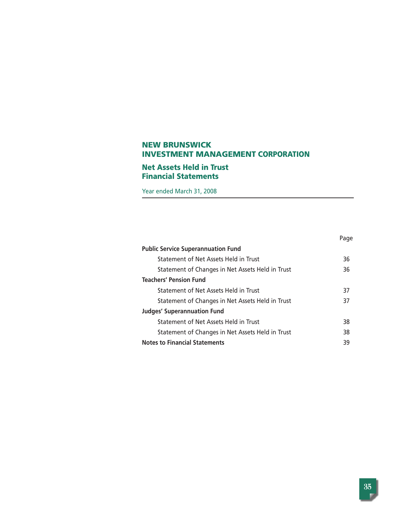## **Net Assets Held in Trust Financial Statements**

Year ended March 31, 2008

|                                                  | Page |
|--------------------------------------------------|------|
| <b>Public Service Superannuation Fund</b>        |      |
| Statement of Net Assets Held in Trust            | 36   |
| Statement of Changes in Net Assets Held in Trust | 36   |
| <b>Teachers' Pension Fund</b>                    |      |
| Statement of Net Assets Held in Trust            | 37   |
| Statement of Changes in Net Assets Held in Trust | 37   |
| <b>Judges' Superannuation Fund</b>               |      |
| Statement of Net Assets Held in Trust            | 38   |
| Statement of Changes in Net Assets Held in Trust | 38   |
| <b>Notes to Financial Statements</b>             | 39   |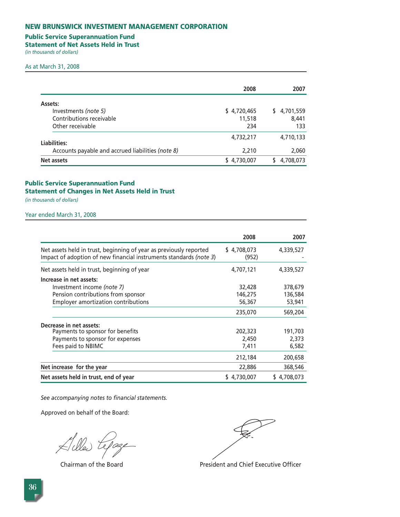## **Public Service Superannuation Fund**

**Statement of Net Assets Held in Trust** 

*(in thousands of dollars)* 

#### As at March 31, 2008

|                                                   | 2008        | 2007            |
|---------------------------------------------------|-------------|-----------------|
| Assets:                                           |             |                 |
| Investments (note 5)                              | \$4,720,465 | 4,701,559<br>S. |
| Contributions receivable                          | 11,518      | 8,441           |
| Other receivable                                  | 234         | 133             |
| Liabilities:                                      | 4,732,217   | 4,710,133       |
| Accounts payable and accrued liabilities (note 8) | 2,210       | 2,060           |
| Net assets                                        | \$4,730,007 | 4,708,073       |

## **Public Service Superannuation Fund Statement of Changes in Net Assets Held in Trust**

*(in thousands of dollars)* 

Year ended March 31, 2008

|                                                                                                                                          | 2008                 | 2007           |
|------------------------------------------------------------------------------------------------------------------------------------------|----------------------|----------------|
| Net assets held in trust, beginning of year as previously reported<br>Impact of adoption of new financial instruments standards (note 3) | \$4,708,073<br>(952) | 4,339,527      |
| Net assets held in trust, beginning of year                                                                                              | 4,707,121            | 4,339,527      |
| Increase in net assets:                                                                                                                  |                      |                |
| Investment income (note 7)                                                                                                               | 32,428               | 378,679        |
| Pension contributions from sponsor                                                                                                       | 146,275              | 136,584        |
| <b>Employer amortization contributions</b>                                                                                               | 56,367               | 53,941         |
|                                                                                                                                          | 235,070              | 569,204        |
| Decrease in net assets:                                                                                                                  |                      |                |
| Payments to sponsor for benefits                                                                                                         | 202,323              | 191,703        |
| Payments to sponsor for expenses                                                                                                         | 2,450                | 2,373          |
| Fees paid to NBIMC                                                                                                                       | 7,411                | 6,582          |
|                                                                                                                                          | 212,184              | 200,658        |
| Net increase for the year                                                                                                                | 22,886               | 368,546        |
| Net assets held in trust, end of year                                                                                                    | \$4,730,007          | 4,708,073<br>S |

*See accompanying notes to financial statements.*

 $\cancel{\approx}$  dles te

Chairman of the Board **President and Chief Executive Officer**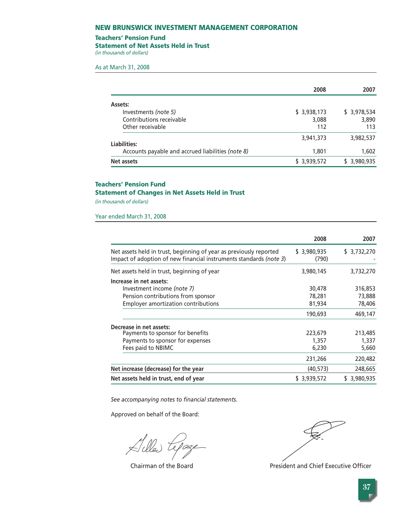#### **Teachers' Pension Fund**

#### **Statement of Net Assets Held in Trust**

*(in thousands of dollars)* 

As at March 31, 2008

|                                                   | 2008         | 2007         |
|---------------------------------------------------|--------------|--------------|
| Assets:                                           |              |              |
| Investments (note 5)                              | \$ 3,938,173 | \$ 3,978,534 |
| Contributions receivable                          | 3,088        | 3,890        |
| Other receivable                                  | 112          | 113          |
| Liabilities:                                      | 3,941,373    | 3,982,537    |
| Accounts payable and accrued liabilities (note 8) | 1,801        | 1,602        |
| Net assets                                        | \$ 3,939,572 | \$3,980,935  |

# **Teachers' Pension Fund**

## **Statement of Changes in Net Assets Held in Trust**

*(in thousands of dollars)* 

Year ended March 31, 2008

|                                                                                                                                          | 2008                 | 2007         |
|------------------------------------------------------------------------------------------------------------------------------------------|----------------------|--------------|
| Net assets held in trust, beginning of year as previously reported<br>Impact of adoption of new financial instruments standards (note 3) | \$3,980,935<br>(790) | \$3,732,270  |
| Net assets held in trust, beginning of year                                                                                              | 3,980,145            | 3,732,270    |
| Increase in net assets:                                                                                                                  |                      |              |
| Investment income (note 7)                                                                                                               | 30,478               | 316,853      |
| Pension contributions from sponsor                                                                                                       | 78,281               | 73,888       |
| <b>Employer amortization contributions</b>                                                                                               | 81,934               | 78,406       |
|                                                                                                                                          | 190,693              | 469,147      |
| Decrease in net assets:                                                                                                                  |                      |              |
| Payments to sponsor for benefits                                                                                                         | 223,679              | 213,485      |
| Payments to sponsor for expenses                                                                                                         | 1,357                | 1,337        |
| Fees paid to NBIMC                                                                                                                       | 6,230                | 5,660        |
|                                                                                                                                          | 231,266              | 220,482      |
| Net increase (decrease) for the year                                                                                                     | (40, 573)            | 248,665      |
| Net assets held in trust, end of year                                                                                                    | \$3,939,572          | \$ 3,980,935 |

*See accompanying notes to financial statements.*

Hiller tepage

Chairman of the Board **President and Chief Executive Officer**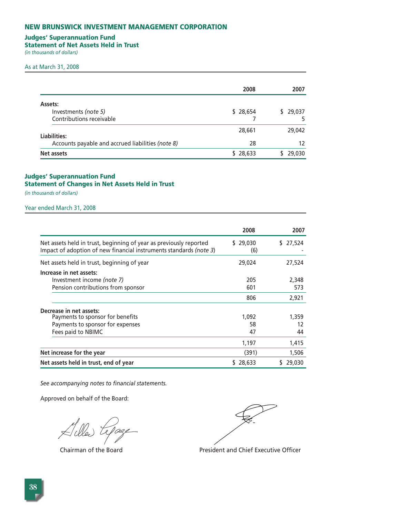## **Judges' Superannuation Fund**

**Statement of Net Assets Held in Trust** 

*(in thousands of dollars)* 

#### As at March 31, 2008

|                                                   | 2008     | 2007         |
|---------------------------------------------------|----------|--------------|
| Assets:                                           |          |              |
| Investments (note 5)<br>Contributions receivable  | \$28,654 | 29,037<br>S. |
| Liabilities:                                      | 28,661   | 29,042       |
| Accounts payable and accrued liabilities (note 8) | 28       | 12           |
| Net assets                                        | \$28,633 | 29,030       |

## **Judges' Superannuation Fund Statement of Changes in Net Assets Held in Trust**

*(in thousands of dollars)* 

Year ended March 31, 2008

|                                                                                                                                          | 2008            | 2007         |
|------------------------------------------------------------------------------------------------------------------------------------------|-----------------|--------------|
| Net assets held in trust, beginning of year as previously reported<br>Impact of adoption of new financial instruments standards (note 3) | \$29,030<br>(6) | 27,524<br>S. |
| Net assets held in trust, beginning of year                                                                                              | 29,024          | 27,524       |
| Increase in net assets:                                                                                                                  |                 |              |
| Investment income (note 7)                                                                                                               | 205             | 2,348        |
| Pension contributions from sponsor                                                                                                       | 601             | 573          |
|                                                                                                                                          | 806             | 2,921        |
| Decrease in net assets:                                                                                                                  |                 |              |
| Payments to sponsor for benefits                                                                                                         | 1,092           | 1,359        |
| Payments to sponsor for expenses                                                                                                         | 58              | 12           |
| Fees paid to NBIMC                                                                                                                       | 47              | 44           |
|                                                                                                                                          | 1,197           | 1,415        |
| Net increase for the year                                                                                                                | (391)           | 1,506        |
| Net assets held in trust, end of year                                                                                                    | 28,633<br>S     | 29,030<br>S  |

*See accompanying notes to financial statements.*

 $\lesssim$ ille) Le Tage

Chairman of the Board President and Chief Executive Officer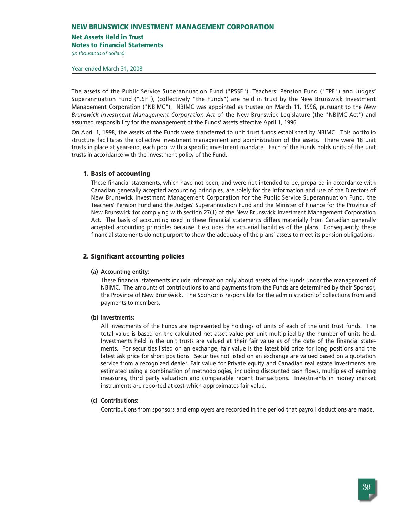## **Net Assets Held in Trust**

**Notes to Financial Statements**

*(in thousands of dollars)* 

Year ended March 31, 2008

The assets of the Public Service Superannuation Fund ("PSSF"), Teachers' Pension Fund ("TPF") and Judges' Superannuation Fund ("JSF"), (collectively "the Funds") are held in trust by the New Brunswick Investment Management Corporation ("NBIMC"). NBIMC was appointed as trustee on March 11, 1996, pursuant to the *New Brunswick Investment Management Corporation Act* of the New Brunswick Legislature (the "NBIMC Act") and assumed responsibility for the management of the Funds' assets effective April 1, 1996.

On April 1, 1998, the assets of the Funds were transferred to unit trust funds established by NBIMC. This portfolio structure facilitates the collective investment management and administration of the assets. There were 18 unit trusts in place at year-end, each pool with a specific investment mandate. Each of the Funds holds units of the unit trusts in accordance with the investment policy of the Fund.

## **1. Basis of accounting**

These financial statements, which have not been, and were not intended to be, prepared in accordance with Canadian generally accepted accounting principles, are solely for the information and use of the Directors of New Brunswick Investment Management Corporation for the Public Service Superannuation Fund, the Teachers' Pension Fund and the Judges' Superannuation Fund and the Minister of Finance for the Province of New Brunswick for complying with section 27(1) of the New Brunswick Investment Management Corporation Act. The basis of accounting used in these financial statements differs materially from Canadian generally accepted accounting principles because it excludes the actuarial liabilities of the plans. Consequently, these financial statements do not purport to show the adequacy of the plans' assets to meet its pension obligations.

## **2. Significant accounting policies**

## **(a) Accounting entity:**

These financial statements include information only about assets of the Funds under the management of NBIMC. The amounts of contributions to and payments from the Funds are determined by their Sponsor, the Province of New Brunswick. The Sponsor is responsible for the administration of collections from and payments to members.

#### **(b) Investments:**

All investments of the Funds are represented by holdings of units of each of the unit trust funds. The total value is based on the calculated net asset value per unit multiplied by the number of units held. Investments held in the unit trusts are valued at their fair value as of the date of the financial statements. For securities listed on an exchange, fair value is the latest bid price for long positions and the latest ask price for short positions. Securities not listed on an exchange are valued based on a quotation service from a recognized dealer. Fair value for Private equity and Canadian real estate investments are estimated using a combination of methodologies, including discounted cash flows, multiples of earning measures, third party valuation and comparable recent transactions. Investments in money market instruments are reported at cost which approximates fair value.

## **(c) Contributions:**

Contributions from sponsors and employers are recorded in the period that payroll deductions are made.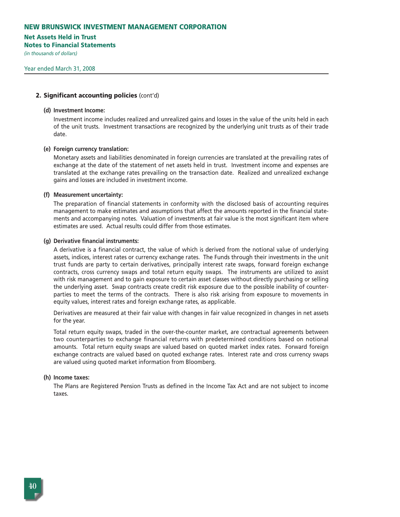#### **Net Assets Held in Trust**

**Notes to Financial Statements**

*(in thousands of dollars)* 

#### **2. Significant accounting policies** (cont'd)

#### **(d) Investment Income:**

Investment income includes realized and unrealized gains and losses in the value of the units held in each of the unit trusts. Investment transactions are recognized by the underlying unit trusts as of their trade date.

#### **(e) Foreign currency translation:**

Monetary assets and liabilities denominated in foreign currencies are translated at the prevailing rates of exchange at the date of the statement of net assets held in trust. Investment income and expenses are translated at the exchange rates prevailing on the transaction date. Realized and unrealized exchange gains and losses are included in investment income.

#### **(f) Measurement uncertainty:**

The preparation of financial statements in conformity with the disclosed basis of accounting requires management to make estimates and assumptions that affect the amounts reported in the financial statements and accompanying notes. Valuation of investments at fair value is the most significant item where estimates are used. Actual results could differ from those estimates.

#### **(g) Derivative financial instruments:**

A derivative is a financial contract, the value of which is derived from the notional value of underlying assets, indices, interest rates or currency exchange rates. The Funds through their investments in the unit trust funds are party to certain derivatives, principally interest rate swaps, forward foreign exchange contracts, cross currency swaps and total return equity swaps. The instruments are utilized to assist with risk management and to gain exposure to certain asset classes without directly purchasing or selling the underlying asset. Swap contracts create credit risk exposure due to the possible inability of counterparties to meet the terms of the contracts. There is also risk arising from exposure to movements in equity values, interest rates and foreign exchange rates, as applicable.

Derivatives are measured at their fair value with changes in fair value recognized in changes in net assets for the year.

Total return equity swaps, traded in the over-the-counter market, are contractual agreements between two counterparties to exchange financial returns with predetermined conditions based on notional amounts. Total return equity swaps are valued based on quoted market index rates. Forward foreign exchange contracts are valued based on quoted exchange rates. Interest rate and cross currency swaps are valued using quoted market information from Bloomberg.

#### **(h) Income taxes:**

The Plans are Registered Pension Trusts as defined in the Income Tax Act and are not subject to income taxes.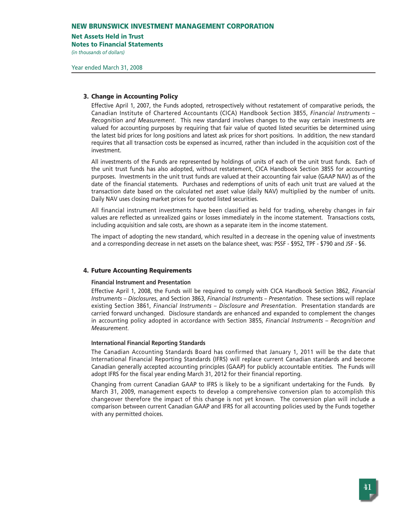#### **Net Assets Held in Trust**

**Notes to Financial Statements**

*(in thousands of dollars)* 

## **3. Change in Accounting Policy**

Effective April 1, 2007, the Funds adopted, retrospectively without restatement of comparative periods, the Canadian Institute of Chartered Accountants (CICA) Handbook Section 3855, *Financial Instruments – Recognition and Measurement*. This new standard involves changes to the way certain investments are valued for accounting purposes by requiring that fair value of quoted listed securities be determined using the latest bid prices for long positions and latest ask prices for short positions. In addition, the new standard requires that all transaction costs be expensed as incurred, rather than included in the acquisition cost of the investment.

All investments of the Funds are represented by holdings of units of each of the unit trust funds. Each of the unit trust funds has also adopted, without restatement, CICA Handbook Section 3855 for accounting purposes. Investments in the unit trust funds are valued at their accounting fair value (GAAP NAV) as of the date of the financial statements. Purchases and redemptions of units of each unit trust are valued at the transaction date based on the calculated net asset value (daily NAV) multiplied by the number of units. Daily NAV uses closing market prices for quoted listed securities.

All financial instrument investments have been classified as held for trading, whereby changes in fair values are reflected as unrealized gains or losses immediately in the income statement. Transactions costs, including acquisition and sale costs, are shown as a separate item in the income statement.

The impact of adopting the new standard, which resulted in a decrease in the opening value of investments and a corresponding decrease in net assets on the balance sheet, was: PSSF - \$952, TPF - \$790 and JSF - \$6.

## **4. Future Accounting Requirements**

## **Financial Instrument and Presentation**

Effective April 1, 2008, the Funds will be required to comply with CICA Handbook Section 3862, *Financial Instruments – Disclosures*, and Section 3863, *Financial Instruments – Presentation*. These sections will replace existing Section 3861, *Financial Instruments – Disclosure and Presentation*. Presentation standards are carried forward unchanged. Disclosure standards are enhanced and expanded to complement the changes in accounting policy adopted in accordance with Section 3855, *Financial Instruments – Recognition and Measurement*.

## **International Financial Reporting Standards**

The Canadian Accounting Standards Board has confirmed that January 1, 2011 will be the date that International Financial Reporting Standards (IFRS) will replace current Canadian standards and become Canadian generally accepted accounting principles (GAAP) for publicly accountable entities. The Funds will adopt IFRS for the fiscal year ending March 31, 2012 for their financial reporting.

Changing from current Canadian GAAP to IFRS is likely to be a significant undertaking for the Funds. By March 31, 2009, management expects to develop a comprehensive conversion plan to accomplish this changeover therefore the impact of this change is not yet known. The conversion plan will include a comparison between current Canadian GAAP and IFRS for all accounting policies used by the Funds together with any permitted choices.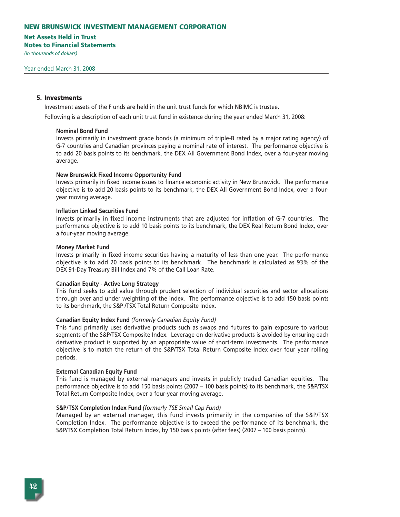## **Net Assets Held in Trust**

**Notes to Financial Statements**

*(in thousands of dollars)* 

#### **5. Investments**

Investment assets of the F unds are held in the unit trust funds for which NBIMC is trustee.

Following is a description of each unit trust fund in existence during the year ended March 31, 2008:

#### **Nominal Bond Fund**

Invests primarily in investment grade bonds (a minimum of triple-B rated by a major rating agency) of G-7 countries and Canadian provinces paying a nominal rate of interest. The performance objective is to add 20 basis points to its benchmark, the DEX All Government Bond Index, over a four-year moving average.

## **New Brunswick Fixed Income Opportunity Fund**

Invests primarily in fixed income issues to finance economic activity in New Brunswick. The performance objective is to add 20 basis points to its benchmark, the DEX All Government Bond Index, over a fouryear moving average.

#### **Inflation Linked Securities Fund**

Invests primarily in fixed income instruments that are adjusted for inflation of G-7 countries. The performance objective is to add 10 basis points to its benchmark, the DEX Real Return Bond Index, over a four-year moving average.

#### **Money Market Fund**

Invests primarily in fixed income securities having a maturity of less than one year. The performance objective is to add 20 basis points to its benchmark. The benchmark is calculated as 93% of the DEX 91-Day Treasury Bill Index and 7% of the Call Loan Rate.

#### **Canadian Equity - Active Long Strategy**

This fund seeks to add value through prudent selection of individual securities and sector allocations through over and under weighting of the index. The performance objective is to add 150 basis points to its benchmark, the S&P /TSX Total Return Composite Index.

#### **Canadian Equity Index Fund** *(formerly Canadian Equity Fund)*

This fund primarily uses derivative products such as swaps and futures to gain exposure to various segments of the S&P/TSX Composite Index. Leverage on derivative products is avoided by ensuring each derivative product is supported by an appropriate value of short-term investments. The performance objective is to match the return of the S&P/TSX Total Return Composite Index over four year rolling periods.

#### **External Canadian Equity Fund**

This fund is managed by external managers and invests in publicly traded Canadian equities. The performance objective is to add 150 basis points (2007 – 100 basis points) to its benchmark, the S&P/TSX Total Return Composite Index, over a four-year moving average.

#### **S&P/TSX Completion Index Fund** *(formerly TSE Small Cap Fund)*

Managed by an external manager, this fund invests primarily in the companies of the S&P/TSX Completion Index. The performance objective is to exceed the performance of its benchmark, the S&P/TSX Completion Total Return Index, by 150 basis points (after fees) (2007 – 100 basis points).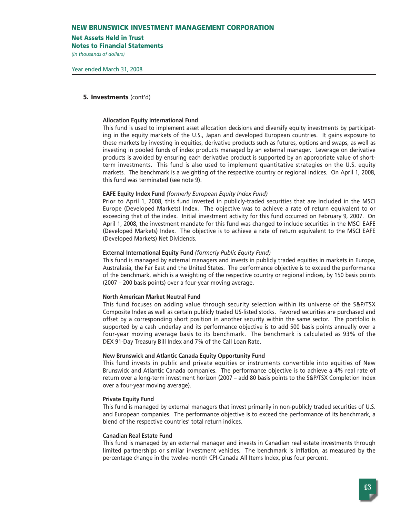#### **Net Assets Held in Trust**

**Notes to Financial Statements**

*(in thousands of dollars)* 

### **5. Investments** (cont'd)

#### **Allocation Equity International Fund**

This fund is used to implement asset allocation decisions and diversify equity investments by participating in the equity markets of the U.S., Japan and developed European countries. It gains exposure to these markets by investing in equities, derivative products such as futures, options and swaps, as well as investing in pooled funds of index products managed by an external manager. Leverage on derivative products is avoided by ensuring each derivative product is supported by an appropriate value of shortterm investments. This fund is also used to implement quantitative strategies on the U.S. equity markets. The benchmark is a weighting of the respective country or regional indices. On April 1, 2008, this fund was terminated (see note 9).

#### **EAFE Equity Index Fund** *(formerly European Equity Index Fund)*

Prior to April 1, 2008, this fund invested in publicly-traded securities that are included in the MSCI Europe (Developed Markets) Index. The objective was to achieve a rate of return equivalent to or exceeding that of the index. Initial investment activity for this fund occurred on February 9, 2007. On April 1, 2008, the investment mandate for this fund was changed to include securities in the MSCI EAFE (Developed Markets) Index. The objective is to achieve a rate of return equivalent to the MSCI EAFE (Developed Markets) Net Dividends.

#### **External International Equity Fund** *(formerly Public Equity Fund)*

This fund is managed by external managers and invests in publicly traded equities in markets in Europe, Australasia, the Far East and the United States. The performance objective is to exceed the performance of the benchmark, which is a weighting of the respective country or regional indices, by 150 basis points (2007 – 200 basis points) over a four-year moving average.

#### **North American Market Neutral Fund**

This fund focuses on adding value through security selection within its universe of the S&P/TSX Composite Index as well as certain publicly traded US-listed stocks. Favored securities are purchased and offset by a corresponding short position in another security within the same sector. The portfolio is supported by a cash underlay and its performance objective is to add 500 basis points annually over a four-year moving average basis to its benchmark. The benchmark is calculated as 93% of the DEX 91-Day Treasury Bill Index and 7% of the Call Loan Rate.

## **New Brunswick and Atlantic Canada Equity Opportunity Fund**

This fund invests in public and private equities or instruments convertible into equities of New Brunswick and Atlantic Canada companies. The performance objective is to achieve a 4% real rate of return over a long-term investment horizon (2007 – add 80 basis points to the S&P/TSX Completion Index over a four-year moving average).

#### **Private Equity Fund**

This fund is managed by external managers that invest primarily in non-publicly traded securities of U.S. and European companies. The performance objective is to exceed the performance of its benchmark, a blend of the respective countries' total return indices.

#### **Canadian Real Estate Fund**

This fund is managed by an external manager and invests in Canadian real estate investments through limited partnerships or similar investment vehicles. The benchmark is inflation, as measured by the percentage change in the twelve-month CPI-Canada All Items Index, plus four percent.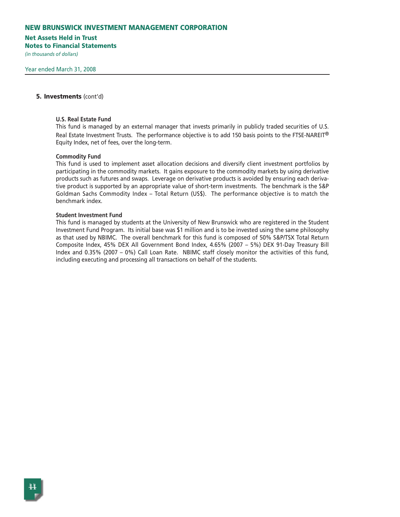#### **Net Assets Held in Trust**

**Notes to Financial Statements**

*(in thousands of dollars)* 

#### **5. Investments** (cont'd)

#### **U.S. Real Estate Fund**

This fund is managed by an external manager that invests primarily in publicly traded securities of U.S. Real Estate Investment Trusts. The performance objective is to add 150 basis points to the FTSE-NAREIT® Equity Index, net of fees, over the long-term.

#### **Commodity Fund**

This fund is used to implement asset allocation decisions and diversify client investment portfolios by participating in the commodity markets. It gains exposure to the commodity markets by using derivative products such as futures and swaps. Leverage on derivative products is avoided by ensuring each derivative product is supported by an appropriate value of short-term investments. The benchmark is the S&P Goldman Sachs Commodity Index – Total Return (US\$). The performance objective is to match the benchmark index.

#### **Student Investment Fund**

This fund is managed by students at the University of New Brunswick who are registered in the Student Investment Fund Program. Its initial base was \$1 million and is to be invested using the same philosophy as that used by NBIMC. The overall benchmark for this fund is composed of 50% S&P/TSX Total Return Composite Index, 45% DEX All Government Bond Index, 4.65% (2007 – 5%) DEX 91-Day Treasury Bill Index and 0.35% (2007 – 0%) Call Loan Rate. NBIMC staff closely monitor the activities of this fund, including executing and processing all transactions on behalf of the students.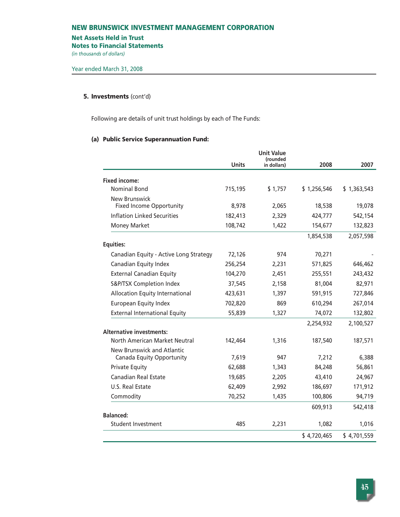#### **Net Assets Held in Trust**

**Notes to Financial Statements**

*(in thousands of dollars)* 

## **5. Investments** (cont'd)

Following are details of unit trust holdings by each of The Funds:

## **(a) Public Service Superannuation Fund:**

|                                        |              | <b>Unit Value</b><br>(rounded |             |             |
|----------------------------------------|--------------|-------------------------------|-------------|-------------|
|                                        | <b>Units</b> | in dollars)                   | 2008        | 2007        |
| <b>Fixed income:</b>                   |              |                               |             |             |
| <b>Nominal Bond</b>                    | 715,195      | \$1,757                       | \$1,256,546 | \$1,363,543 |
| New Brunswick                          |              |                               |             |             |
| <b>Fixed Income Opportunity</b>        | 8,978        | 2,065                         | 18,538      | 19,078      |
| <b>Inflation Linked Securities</b>     | 182,413      | 2,329                         | 424,777     | 542,154     |
| <b>Money Market</b>                    | 108,742      | 1,422                         | 154,677     | 132,823     |
|                                        |              |                               | 1,854,538   | 2,057,598   |
| <b>Equities:</b>                       |              |                               |             |             |
| Canadian Equity - Active Long Strategy | 72,126       | 974                           | 70,271      |             |
| Canadian Equity Index                  | 256,254      | 2,231                         | 571,825     | 646,462     |
| <b>External Canadian Equity</b>        | 104,270      | 2,451                         | 255,551     | 243,432     |
| S&P/TSX Completion Index               | 37,545       | 2,158                         | 81,004      | 82,971      |
| <b>Allocation Equity International</b> | 423,631      | 1,397                         | 591,915     | 727,846     |
| <b>European Equity Index</b>           | 702,820      | 869                           | 610,294     | 267,014     |
| <b>External International Equity</b>   | 55,839       | 1,327                         | 74,072      | 132,802     |
|                                        |              |                               | 2,254,932   | 2,100,527   |
| <b>Alternative investments:</b>        |              |                               |             |             |
| North American Market Neutral          | 142,464      | 1,316                         | 187,540     | 187,571     |
| New Brunswick and Atlantic             |              |                               |             |             |
| Canada Equity Opportunity              | 7,619        | 947                           | 7,212       | 6,388       |
| <b>Private Equity</b>                  | 62,688       | 1,343                         | 84,248      | 56,861      |
| <b>Canadian Real Estate</b>            | 19,685       | 2,205                         | 43,410      | 24,967      |
| U.S. Real Estate                       | 62,409       | 2,992                         | 186,697     | 171,912     |
| Commodity                              | 70,252       | 1,435                         | 100,806     | 94,719      |
|                                        |              |                               | 609,913     | 542,418     |
| <b>Balanced:</b>                       |              |                               |             |             |
| Student Investment                     | 485          | 2,231                         | 1,082       | 1,016       |
|                                        |              |                               | \$4,720,465 | \$4,701,559 |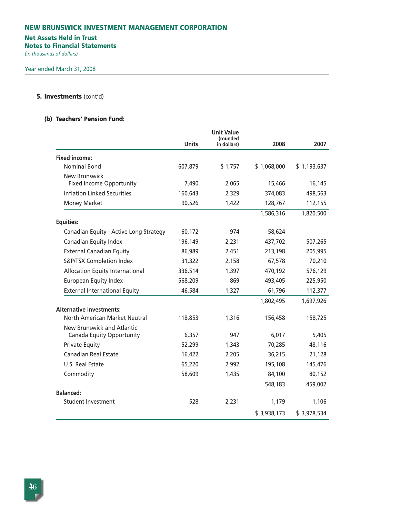## **Net Assets Held in Trust**

**Notes to Financial Statements**

*(in thousands of dollars)* 

## **5. Investments** (cont'd)

## **(b) Teachers' Pension Fund:**

|                                                         | <b>Units</b> | <b>Unit Value</b><br>(rounded<br>in dollars) | 2008        | 2007        |
|---------------------------------------------------------|--------------|----------------------------------------------|-------------|-------------|
| <b>Fixed income:</b>                                    |              |                                              |             |             |
| <b>Nominal Bond</b>                                     | 607,879      | \$1,757                                      | \$1,068,000 | \$1,193,637 |
| <b>New Brunswick</b><br><b>Fixed Income Opportunity</b> | 7,490        | 2,065                                        | 15,466      | 16,145      |
| Inflation Linked Securities                             | 160,643      | 2,329                                        | 374,083     | 498,563     |
| <b>Money Market</b>                                     | 90,526       | 1,422                                        | 128,767     | 112,155     |
| <b>Equities:</b>                                        |              |                                              | 1,586,316   | 1,820,500   |
| Canadian Equity - Active Long Strategy                  | 60,172       | 974                                          | 58,624      |             |
| Canadian Equity Index                                   | 196,149      | 2,231                                        | 437,702     | 507,265     |
| <b>External Canadian Equity</b>                         | 86,989       | 2,451                                        | 213,198     | 205,995     |
| S&P/TSX Completion Index                                | 31,322       | 2,158                                        | 67,578      | 70,210      |
| Allocation Equity International                         | 336,514      | 1,397                                        | 470,192     | 576,129     |
| <b>European Equity Index</b>                            | 568,209      | 869                                          | 493,405     | 225,950     |
| <b>External International Equity</b>                    | 46,584       | 1,327                                        | 61,796      | 112,377     |
|                                                         |              |                                              | 1,802,495   | 1,697,926   |
| <b>Alternative investments:</b>                         |              |                                              |             |             |
| North American Market Neutral                           | 118,853      | 1,316                                        | 156,458     | 158,725     |
| New Brunswick and Atlantic<br>Canada Equity Opportunity | 6,357        | 947                                          | 6,017       | 5,405       |
| <b>Private Equity</b>                                   | 52,299       | 1,343                                        | 70,285      | 48,116      |
| <b>Canadian Real Estate</b>                             | 16,422       | 2,205                                        | 36,215      | 21,128      |
| U.S. Real Estate                                        | 65,220       | 2,992                                        | 195,108     | 145,476     |
| Commodity                                               | 58,609       | 1,435                                        | 84,100      | 80,152      |
|                                                         |              |                                              | 548,183     | 459,002     |
| <b>Balanced:</b>                                        |              |                                              |             |             |
| <b>Student Investment</b>                               | 528          | 2,231                                        | 1,179       | 1,106       |
|                                                         |              |                                              | \$3,938,173 | \$3,978,534 |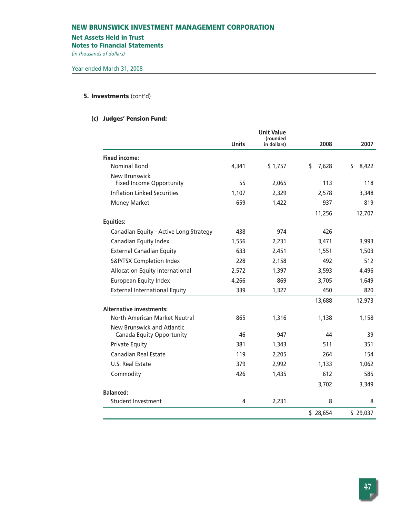#### **Net Assets Held in Trust**

**Notes to Financial Statements**

*(in thousands of dollars)* 

## **5. Investments** (cont'd)

## **(c) Judges' Pension Fund:**

|                                                         | <b>Units</b> | <b>Unit Value</b><br>(rounded<br>in dollars) | 2008        | 2007        |
|---------------------------------------------------------|--------------|----------------------------------------------|-------------|-------------|
| <b>Fixed income:</b>                                    |              |                                              |             |             |
| <b>Nominal Bond</b>                                     | 4,341        | \$1,757                                      | \$<br>7,628 | \$<br>8,422 |
| New Brunswick<br><b>Fixed Income Opportunity</b>        | 55           | 2,065                                        | 113         | 118         |
| <b>Inflation Linked Securities</b>                      | 1,107        | 2,329                                        | 2,578       | 3,348       |
| <b>Money Market</b>                                     | 659          | 1,422                                        | 937         | 819         |
| <b>Equities:</b>                                        |              |                                              | 11,256      | 12,707      |
| Canadian Equity - Active Long Strategy                  | 438          | 974                                          | 426         |             |
| Canadian Equity Index                                   | 1,556        | 2,231                                        | 3,471       | 3,993       |
| <b>External Canadian Equity</b>                         | 633          | 2,451                                        | 1,551       | 1,503       |
| S&P/TSX Completion Index                                | 228          | 2,158                                        | 492         | 512         |
| Allocation Equity International                         | 2,572        | 1,397                                        | 3,593       | 4,496       |
| European Equity Index                                   | 4,266        | 869                                          | 3,705       | 1,649       |
| <b>External International Equity</b>                    | 339          | 1,327                                        | 450         | 820         |
|                                                         |              |                                              | 13,688      | 12,973      |
| <b>Alternative investments:</b>                         |              |                                              |             |             |
| North American Market Neutral                           | 865          | 1,316                                        | 1,138       | 1,158       |
| New Brunswick and Atlantic<br>Canada Equity Opportunity | 46           | 947                                          | 44          | 39          |
| <b>Private Equity</b>                                   | 381          | 1,343                                        | 511         | 351         |
| Canadian Real Estate                                    | 119          | 2,205                                        | 264         | 154         |
| U.S. Real Estate                                        | 379          | 2,992                                        | 1,133       | 1,062       |
| Commodity                                               | 426          | 1,435                                        | 612         | 585         |
| <b>Balanced:</b>                                        |              |                                              | 3,702       | 3,349       |
| <b>Student Investment</b>                               | 4            | 2,231                                        | 8           | 8           |
|                                                         |              |                                              |             |             |
|                                                         |              |                                              | \$28,654    | \$29,037    |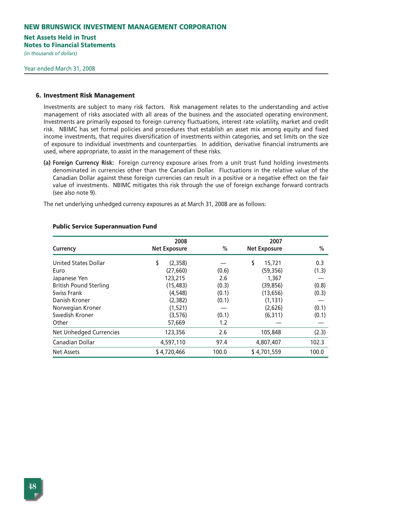## **Net Assets Held in Trust**

**Notes to Financial Statements**

*(in thousands of dollars)* 

#### **6. Investment Risk Management**

Investments are subject to many risk factors. Risk management relates to the understanding and active management of risks associated with all areas of the business and the associated operating environment. Investments are primarily exposed to foreign currency fluctuations, interest rate volatility, market and credit risk. NBIMC has set formal policies and procedures that establish an asset mix among equity and fixed income investments, that requires diversification of investments within categories, and set limits on the size of exposure to individual investments and counterparties. In addition, derivative financial instruments are used, where appropriate, to assist in the management of these risks.

**(a) Foreign Currency Risk:** Foreign currency exposure arises from a unit trust fund holding investments denominated in currencies other than the Canadian Dollar. Fluctuations in the relative value of the Canadian Dollar against these foreign currencies can result in a positive or a negative effect on the fair value of investments. NBIMC mitigates this risk through the use of foreign exchange forward contracts (see also note 9).

The net underlying unhedged currency exposures as at March 31, 2008 are as follows:

|                                | 2008                |       | 2007                |       |
|--------------------------------|---------------------|-------|---------------------|-------|
| Currency                       | <b>Net Exposure</b> | $\%$  | <b>Net Exposure</b> | $\%$  |
| <b>United States Dollar</b>    | \$<br>(2,358)       |       | \$<br>15,721        | 0.3   |
| Euro                           | (27, 660)           | (0.6) | (59, 356)           | (1.3) |
| Japanese Yen                   | 123,215             | 2.6   | 1,367               |       |
| <b>British Pound Sterling</b>  | (15, 483)           | (0.3) | (39, 856)           | (0.8) |
| Swiss Frank                    | (4, 548)            | (0.1) | (13, 656)           | (0.3) |
| Danish Kroner                  | (2, 382)            | (0.1) | (1, 131)            |       |
| Norwegian Kroner               | (1,521)             |       | (2,626)             | (0.1) |
| Swedish Kroner                 | (3,576)             | (0.1) | (6, 311)            | (0.1) |
| Other                          | 57,669              | 1.2   |                     |       |
| <b>Net Unhedged Currencies</b> | 123,356             | 2.6   | 105,848             | (2.3) |
| Canadian Dollar                | 4,597,110           | 97.4  | 4,807,407           | 102.3 |
| <b>Net Assets</b>              | \$4,720,466         | 100.0 | \$4,701,559         | 100.0 |

#### **Public Service Superannuation Fund**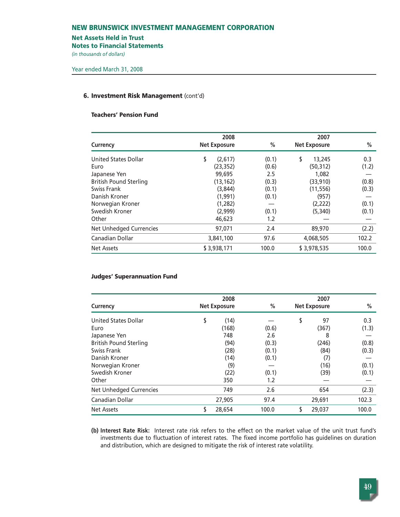#### **Net Assets Held in Trust**

**Notes to Financial Statements**

*(in thousands of dollars)* 

#### **6. Investment Risk Management** (cont'd)

## **Teachers' Pension Fund**

| <b>Currency</b>                | 2008<br><b>Net Exposure</b> | %     | 2007<br><b>Net Exposure</b> | $\%$  |
|--------------------------------|-----------------------------|-------|-----------------------------|-------|
| United States Dollar           | \$<br>(2,617)               | (0.1) | \$<br>13,245                | 0.3   |
| Euro                           | (23, 352)                   | (0.6) | (50,312)                    | (1.2) |
| Japanese Yen                   | 99,695                      | 2.5   | 1,082                       |       |
| <b>British Pound Sterling</b>  | (13, 162)                   | (0.3) | (33,910)                    | (0.8) |
| Swiss Frank                    | (3,844)                     | (0.1) | (11, 556)                   | (0.3) |
| Danish Kroner                  | (1, 991)                    | (0.1) | (957)                       |       |
| Norwegian Kroner               | (1,282)                     |       | (2,222)                     | (0.1) |
| Swedish Kroner                 | (2,999)                     | (0.1) | (5,340)                     | (0.1) |
| Other                          | 46,623                      | 1.2   |                             |       |
| <b>Net Unhedged Currencies</b> | 97,071                      | 2.4   | 89,970                      | (2.2) |
| Canadian Dollar                | 3,841,100                   | 97.6  | 4,068,505                   | 102.2 |
| Net Assets                     | \$3,938,171                 | 100.0 | \$3,978,535                 | 100.0 |
|                                |                             |       |                             |       |

## **Judges' Superannuation Fund**

|                                | 2008 |                     | 2007  |    |                     |       |
|--------------------------------|------|---------------------|-------|----|---------------------|-------|
| Currency                       |      | <b>Net Exposure</b> | $\%$  |    | <b>Net Exposure</b> | %     |
| <b>United States Dollar</b>    | \$   | (14)                |       | \$ | 97                  | 0.3   |
| Euro                           |      | (168)               | (0.6) |    | (367)               | (1.3) |
| Japanese Yen                   |      | 748                 | 2.6   |    | 8                   |       |
| <b>British Pound Sterling</b>  |      | (94)                | (0.3) |    | (246)               | (0.8) |
| Swiss Frank                    |      | (28)                | (0.1) |    | (84)                | (0.3) |
| Danish Kroner                  |      | (14)                | (0.1) |    | (7)                 |       |
| Norwegian Kroner               |      | (9)                 |       |    | (16)                | (0.1) |
| Swedish Kroner                 |      | (22)                | (0.1) |    | (39)                | (0.1) |
| Other                          |      | 350                 | 1.2   |    |                     |       |
| <b>Net Unhedged Currencies</b> |      | 749                 | 2.6   |    | 654                 | (2.3) |
| Canadian Dollar                |      | 27,905              | 97.4  |    | 29,691              | 102.3 |
| <b>Net Assets</b>              | \$   | 28.654              | 100.0 |    | 29.037              | 100.0 |

**(b) Interest Rate Risk:** Interest rate risk refers to the effect on the market value of the unit trust fund's investments due to fluctuation of interest rates. The fixed income portfolio has guidelines on duration and distribution, which are designed to mitigate the risk of interest rate volatility.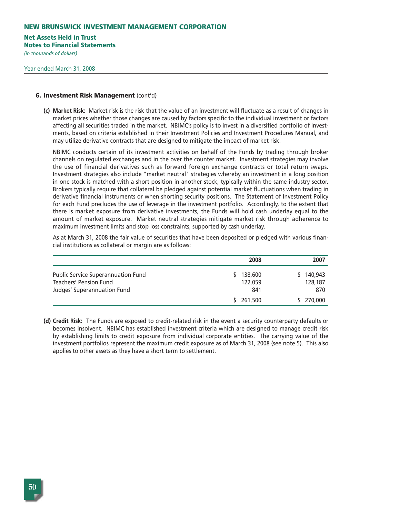#### **Net Assets Held in Trust**

**Notes to Financial Statements**

*(in thousands of dollars)* 

#### **6. Investment Risk Management** (cont'd)

**(c) Market Risk:** Market risk is the risk that the value of an investment will fluctuate as a result of changes in market prices whether those changes are caused by factors specific to the individual investment or factors affecting all securities traded in the market. NBIMC's policy is to invest in a diversified portfolio of investments, based on criteria established in their Investment Policies and Investment Procedures Manual, and may utilize derivative contracts that are designed to mitigate the impact of market risk.

NBIMC conducts certain of its investment activities on behalf of the Funds by trading through broker channels on regulated exchanges and in the over the counter market. Investment strategies may involve the use of financial derivatives such as forward foreign exchange contracts or total return swaps. Investment strategies also include "market neutral" strategies whereby an investment in a long position in one stock is matched with a short position in another stock, typically within the same industry sector. Brokers typically require that collateral be pledged against potential market fluctuations when trading in derivative financial instruments or when shorting security positions. The Statement of Investment Policy for each Fund precludes the use of leverage in the investment portfolio. Accordingly, to the extent that there is market exposure from derivative investments, the Funds will hold cash underlay equal to the amount of market exposure. Market neutral strategies mitigate market risk through adherence to maximum investment limits and stop loss constraints, supported by cash underlay.

As at March 31, 2008 the fair value of securities that have been deposited or pledged with various financial institutions as collateral or margin are as follows:

|                                                                                                    | 2008                      | 2007                      |
|----------------------------------------------------------------------------------------------------|---------------------------|---------------------------|
| Public Service Superannuation Fund<br><b>Teachers' Pension Fund</b><br>Judges' Superannuation Fund | 138,600<br>122,059<br>841 | 140,943<br>128,187<br>870 |
|                                                                                                    | \$ 261,500                | 270,000                   |

**(d) Credit Risk:** The Funds are exposed to credit-related risk in the event a security counterparty defaults or becomes insolvent. NBIMC has established investment criteria which are designed to manage credit risk by establishing limits to credit exposure from individual corporate entities. The carrying value of the investment portfolios represent the maximum credit exposure as of March 31, 2008 (see note 5). This also applies to other assets as they have a short term to settlement.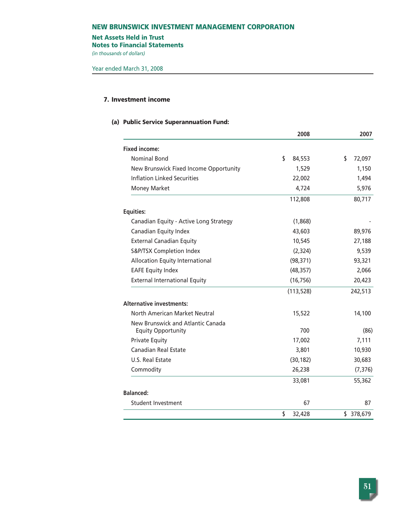## **Net Assets Held in Trust**

**Notes to Financial Statements**

*(in thousands of dollars)* 

## **7. Investment income**

## **(a) Public Service Superannuation Fund:**

|                                                                | 2008             | 2007         |  |
|----------------------------------------------------------------|------------------|--------------|--|
| <b>Fixed income:</b>                                           |                  |              |  |
| <b>Nominal Bond</b>                                            | \$<br>84,553     | \$<br>72,097 |  |
| New Brunswick Fixed Income Opportunity                         | 1,529            | 1,150        |  |
| <b>Inflation Linked Securities</b>                             | 22,002           | 1,494        |  |
| <b>Money Market</b>                                            | 4,724            | 5,976        |  |
|                                                                | 112,808          | 80,717       |  |
| <b>Equities:</b>                                               |                  |              |  |
| Canadian Equity - Active Long Strategy                         | (1,868)          |              |  |
| Canadian Equity Index                                          | 43,603           | 89,976       |  |
| <b>External Canadian Equity</b>                                | 10,545           | 27,188       |  |
| S&P/TSX Completion Index                                       | (2,324)          | 9,539        |  |
| <b>Allocation Equity International</b>                         | (98, 371)        | 93,321       |  |
| <b>EAFE Equity Index</b>                                       | (48, 357)        | 2,066        |  |
| <b>External International Equity</b>                           | (16, 756)        | 20,423       |  |
|                                                                | (113, 528)       | 242,513      |  |
| <b>Alternative investments:</b>                                |                  |              |  |
| North American Market Neutral                                  | 15,522<br>14,100 |              |  |
| New Brunswick and Atlantic Canada<br><b>Equity Opportunity</b> | 700              | (86)         |  |
| <b>Private Equity</b>                                          | 17,002           | 7,111        |  |
| Canadian Real Estate                                           | 3,801            | 10,930       |  |
| U.S. Real Estate                                               | (30, 182)        | 30,683       |  |
| Commodity                                                      | 26,238           | (7, 376)     |  |
|                                                                | 33,081           | 55,362       |  |
| <b>Balanced:</b>                                               |                  |              |  |
| <b>Student Investment</b>                                      | 67               | 87           |  |
|                                                                | \$<br>32,428     | \$ 378,679   |  |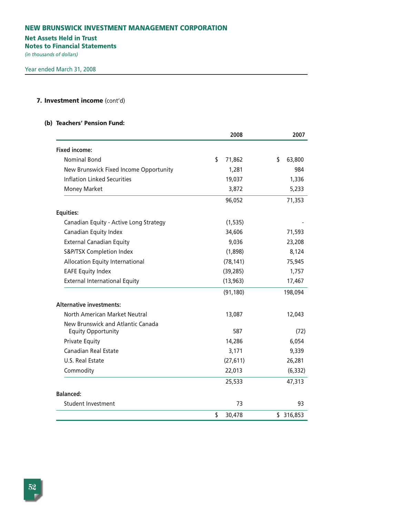## **Net Assets Held in Trust**

**Notes to Financial Statements**

*(in thousands of dollars)* 

## **7. Investment income** (cont'd)

### **(b) Teachers' Pension Fund:**

|                                        | 2008                | 2007          |  |
|----------------------------------------|---------------------|---------------|--|
| <b>Fixed income:</b>                   |                     |               |  |
| <b>Nominal Bond</b>                    | \$<br>71,862        | \$<br>63,800  |  |
| New Brunswick Fixed Income Opportunity | 1,281               | 984           |  |
| <b>Inflation Linked Securities</b>     | 19,037              | 1,336         |  |
| <b>Money Market</b>                    | 3,872               | 5,233         |  |
|                                        | 96,052              | 71,353        |  |
| <b>Equities:</b>                       |                     |               |  |
| Canadian Equity - Active Long Strategy | (1, 535)            |               |  |
| Canadian Equity Index                  | 34,606              | 71,593        |  |
| <b>External Canadian Equity</b>        | 9,036               | 23,208        |  |
| S&P/TSX Completion Index               | (1,898)             | 8,124         |  |
| Allocation Equity International        | (78, 141)<br>75,945 |               |  |
| <b>EAFE Equity Index</b>               | (39, 285)           | 1,757         |  |
| <b>External International Equity</b>   | (13, 963)           | 17,467        |  |
|                                        | (91, 180)           | 198,094       |  |
| <b>Alternative investments:</b>        |                     |               |  |
| <b>North American Market Neutral</b>   | 13,087              | 12,043        |  |
| New Brunswick and Atlantic Canada      |                     |               |  |
| <b>Equity Opportunity</b>              | 587                 |               |  |
| <b>Private Equity</b>                  | 14,286              | 6,054         |  |
| Canadian Real Estate                   | 3,171               | 9,339         |  |
| U.S. Real Estate                       | (27, 611)           | 26,281        |  |
| Commodity                              | 22,013              | (6, 332)      |  |
|                                        | 25,533              | 47,313        |  |
| <b>Balanced:</b>                       |                     |               |  |
| <b>Student Investment</b>              | 73                  | 93            |  |
|                                        | \$<br>30,478        | \$<br>316,853 |  |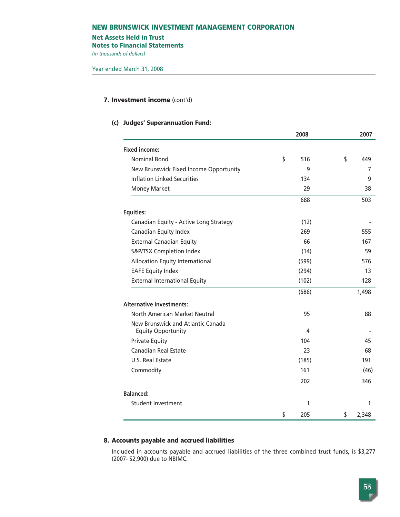#### **Net Assets Held in Trust**

**Notes to Financial Statements**

*(in thousands of dollars)* 

#### **7. Investment income** (cont'd)

#### **(c) Judges' Superannuation Fund:**

|                                        | 2008      | 2007        |  |
|----------------------------------------|-----------|-------------|--|
| <b>Fixed income:</b>                   |           |             |  |
| <b>Nominal Bond</b>                    | \$<br>516 | \$<br>449   |  |
| New Brunswick Fixed Income Opportunity | 9         | 7           |  |
| <b>Inflation Linked Securities</b>     | 134       | 9           |  |
| <b>Money Market</b>                    | 29        | 38          |  |
|                                        | 688       | 503         |  |
| <b>Equities:</b>                       |           |             |  |
| Canadian Equity - Active Long Strategy | (12)      |             |  |
| Canadian Equity Index                  | 269       | 555         |  |
| <b>External Canadian Equity</b>        | 66        | 167         |  |
| S&P/TSX Completion Index               | (14)      | 59          |  |
| Allocation Equity International        | (599)     | 576         |  |
| <b>EAFE Equity Index</b>               | (294)     | 13          |  |
| <b>External International Equity</b>   | (102)     | 128         |  |
|                                        | (686)     | 1,498       |  |
| <b>Alternative investments:</b>        |           |             |  |
| North American Market Neutral          | 95        | 88          |  |
| New Brunswick and Atlantic Canada      |           |             |  |
| <b>Equity Opportunity</b>              | 4         |             |  |
| <b>Private Equity</b>                  | 104       | 45          |  |
| <b>Canadian Real Estate</b>            | 23        | 68          |  |
| U.S. Real Estate                       | (185)     | 191         |  |
| Commodity                              | 161       | (46)        |  |
|                                        | 202       | 346         |  |
| <b>Balanced:</b>                       |           |             |  |
| Student Investment                     | 1         | 1           |  |
|                                        | \$<br>205 | \$<br>2,348 |  |

## **8. Accounts payable and accrued liabilities**

Included in accounts payable and accrued liabilities of the three combined trust funds, is \$3,277 (2007- \$2,900) due to NBIMC.